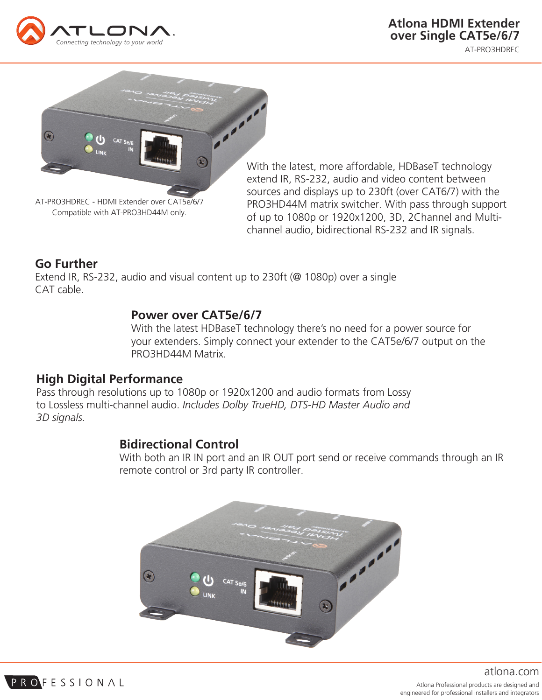



With the latest, more affordable, HDBaseT technology extend IR, RS-232, audio and video content between sources and displays up to 230ft (over CAT6/7) with the PRO3HD44M matrix switcher. With pass through support of up to 1080p or 1920x1200, 3D, 2Channel and Multichannel audio, bidirectional RS-232 and IR signals.

# **Go Further**

PROFESSIONAL

Extend IR, RS-232, audio and visual content up to 230ft (@ 1080p) over a single CAT cable.

## **Power over CAT5e/6/7**

With the latest HDBaseT technology there's no need for a power source for your extenders. Simply connect your extender to the CAT5e/6/7 output on the PRO3HD44M Matrix.

#### **High Digital Performance**

Pass through resolutions up to 1080p or 1920x1200 and audio formats from Lossy to Lossless multi-channel audio. *Includes Dolby TrueHD, DTS-HD Master Audio and 3D signals.*

## **Bidirectional Control**

With both an IR IN port and an IR OUT port send or receive commands through an IR remote control or 3rd party IR controller.



Atlona Professional products are designed and engineered for professional installers and integrators